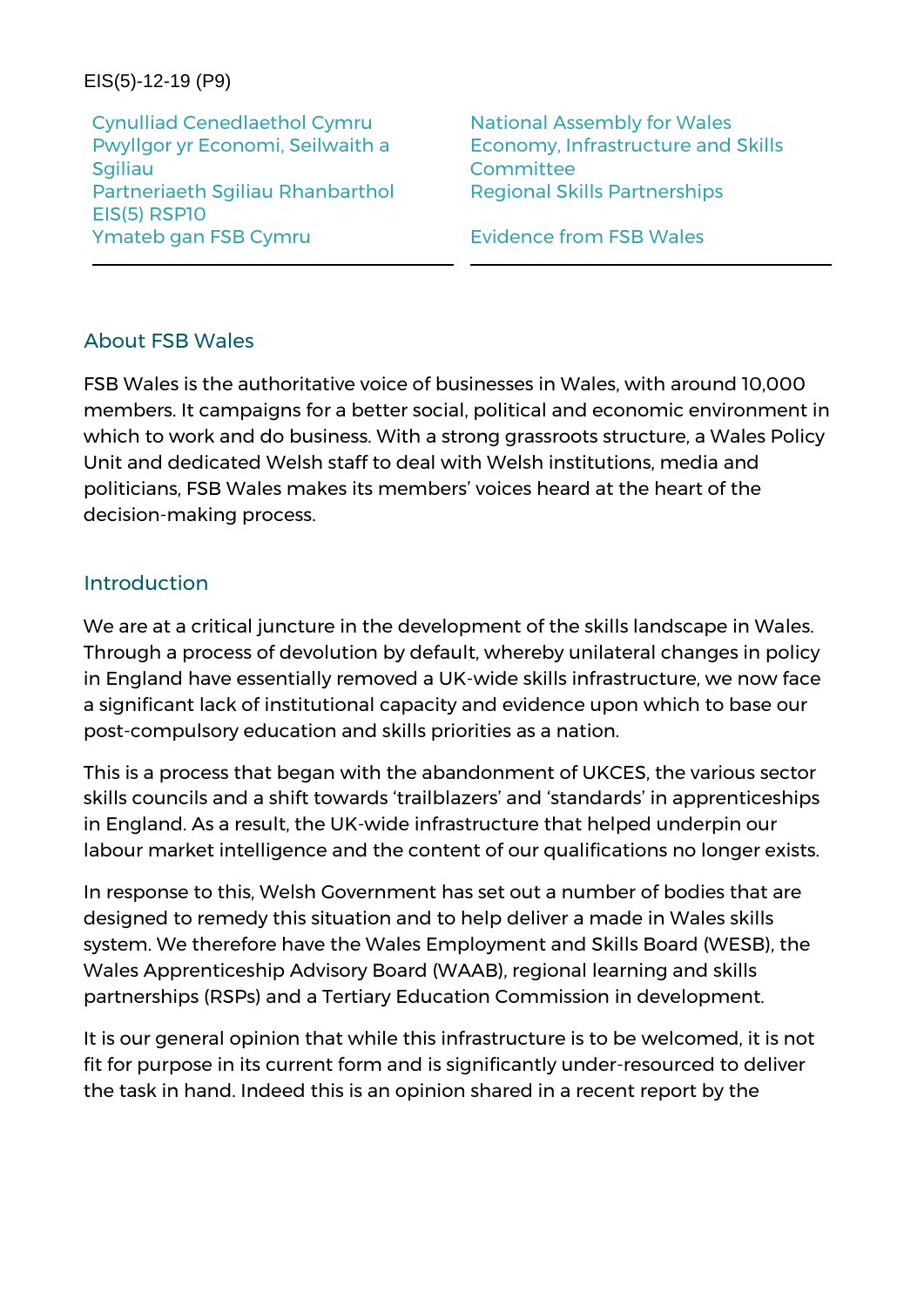#### EIS(5)-12-19 (P9)

Cynulliad Cenedlaethol Cymru National Assembly for Wales Pwyllgor yr Economi, Seilwaith a **Sgiliau** Partneriaeth Sgiliau Rhanbarthol Regional Skills Partnerships EIS(5) RSP10 Ymateb gan FSB Cymru **Evidence from FSB Wales** 

Economy, Infrastructure and Skills **Committee** 

#### About FSB Wales

FSB Wales is the authoritative voice of businesses in Wales, with around 10,000 members. It campaigns for a better social, political and economic environment in which to work and do business. With a strong grassroots structure, a Wales Policy Unit and dedicated Welsh staff to deal with Welsh institutions, media and politicians, FSB Wales makes its members' voices heard at the heart of the decision-making process.

#### Introduction

We are at a critical juncture in the development of the skills landscape in Wales. Through a process of devolution by default, whereby unilateral changes in policy in England have essentially removed a UK-wide skills infrastructure, we now face a significant lack of institutional capacity and evidence upon which to base our post-compulsory education and skills priorities as a nation.

This is a process that began with the abandonment of UKCES, the various sector skills councils and a shift towards 'trailblazers' and 'standards' in apprenticeships in England. As a result, the UK-wide infrastructure that helped underpin our labour market intelligence and the content of our qualifications no longer exists.

In response to this, Welsh Government has set out a number of bodies that are designed to remedy this situation and to help deliver a made in Wales skills system. We therefore have the Wales Employment and Skills Board (WESB), the Wales Apprenticeship Advisory Board (WAAB), regional learning and skills partnerships (RSPs) and a Tertiary Education Commission in development.

It is our general opinion that while this infrastructure is to be welcomed, it is not fit for purpose in its current form and is significantly under-resourced to deliver the task in hand. Indeed this is an opinion shared in a recent report by the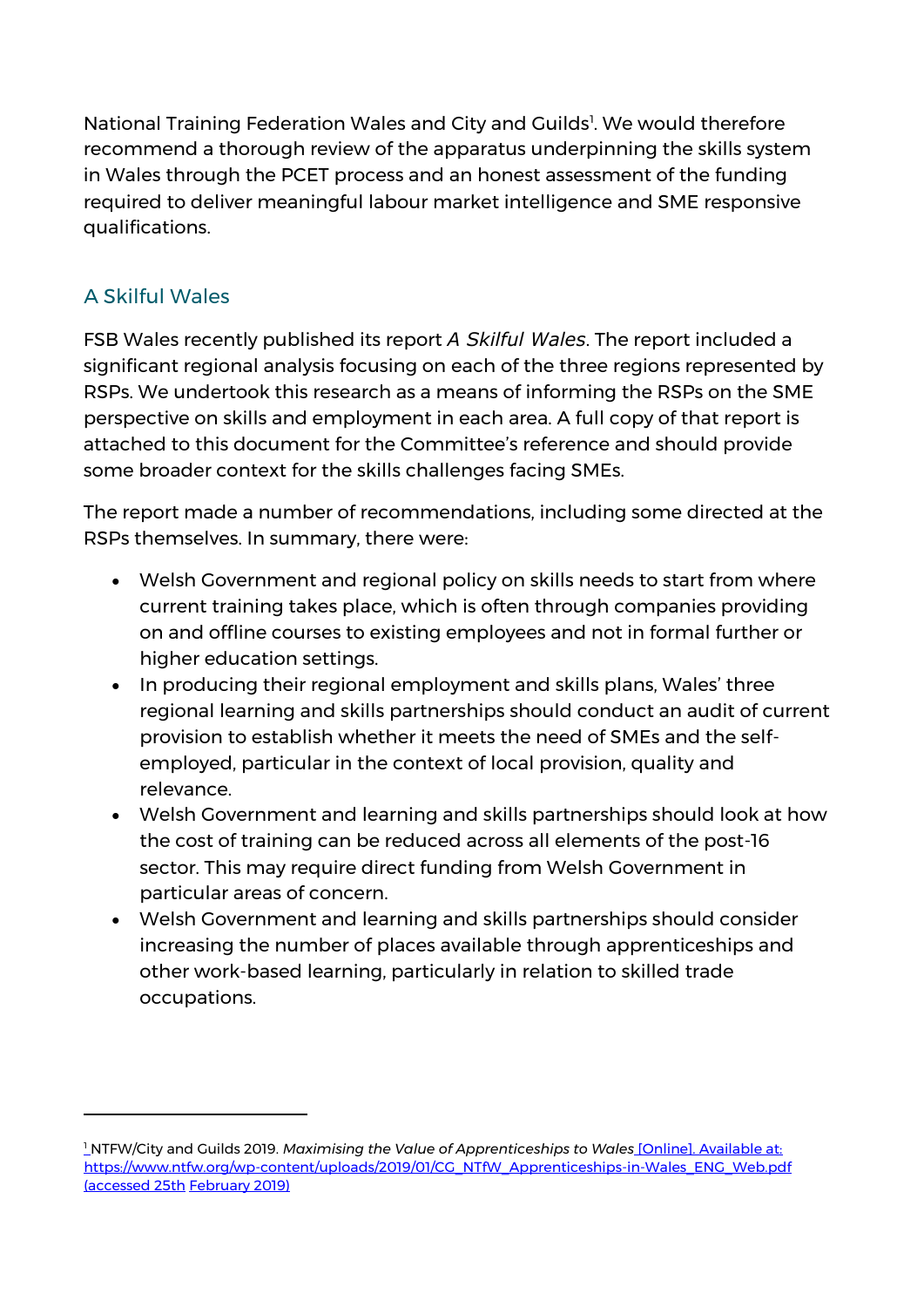National Training Federation Wales and City and Guilds<sup>1</sup>. We would therefore recommend a thorough review of the apparatus underpinning the skills system in Wales through the PCET process and an honest assessment of the funding required to deliver meaningful labour market intelligence and SME responsive qualifications.

## A Skilful Wales

-

FSB Wales recently published its report *A Skilful Wales*. The report included a significant regional analysis focusing on each of the three regions represented by RSPs. We undertook this research as a means of informing the RSPs on the SME perspective on skills and employment in each area. A full copy of that report is attached to this document for the Committee's reference and should provide some broader context for the skills challenges facing SMEs.

The report made a number of recommendations, including some directed at the RSPs themselves. In summary, there were:

- Welsh Government and regional policy on skills needs to start from where current training takes place, which is often through companies providing on and offline courses to existing employees and not in formal further or higher education settings.
- In producing their regional employment and skills plans, Wales' three regional learning and skills partnerships should conduct an audit of current provision to establish whether it meets the need of SMEs and the selfemployed, particular in the context of local provision, quality and relevance.
- Welsh Government and learning and skills partnerships should look at how the cost of training can be reduced across all elements of the post-16 sector. This may require direct funding from Welsh Government in particular areas of concern.
- Welsh Government and learning and skills partnerships should consider increasing the number of places available through apprenticeships and other work-based learning, particularly in relation to skilled trade occupations.

<sup>1</sup> NTFW/City and Guilds 2019. *Maximising the Value of Apprenticeships to Wales* [Online]. Available at: [https://www.ntfw.org/wp-content/uploads/2019/01/CG\\_NTfW\\_Apprenticeships-in-Wales\\_ENG\\_Web.pdf](https://www.ntfw.org/wp-content/uploads/2019/01/CG_NTfW_Apprenticeships-in-Wales_ENG_Web.pdf) (accessed 25th February 2019)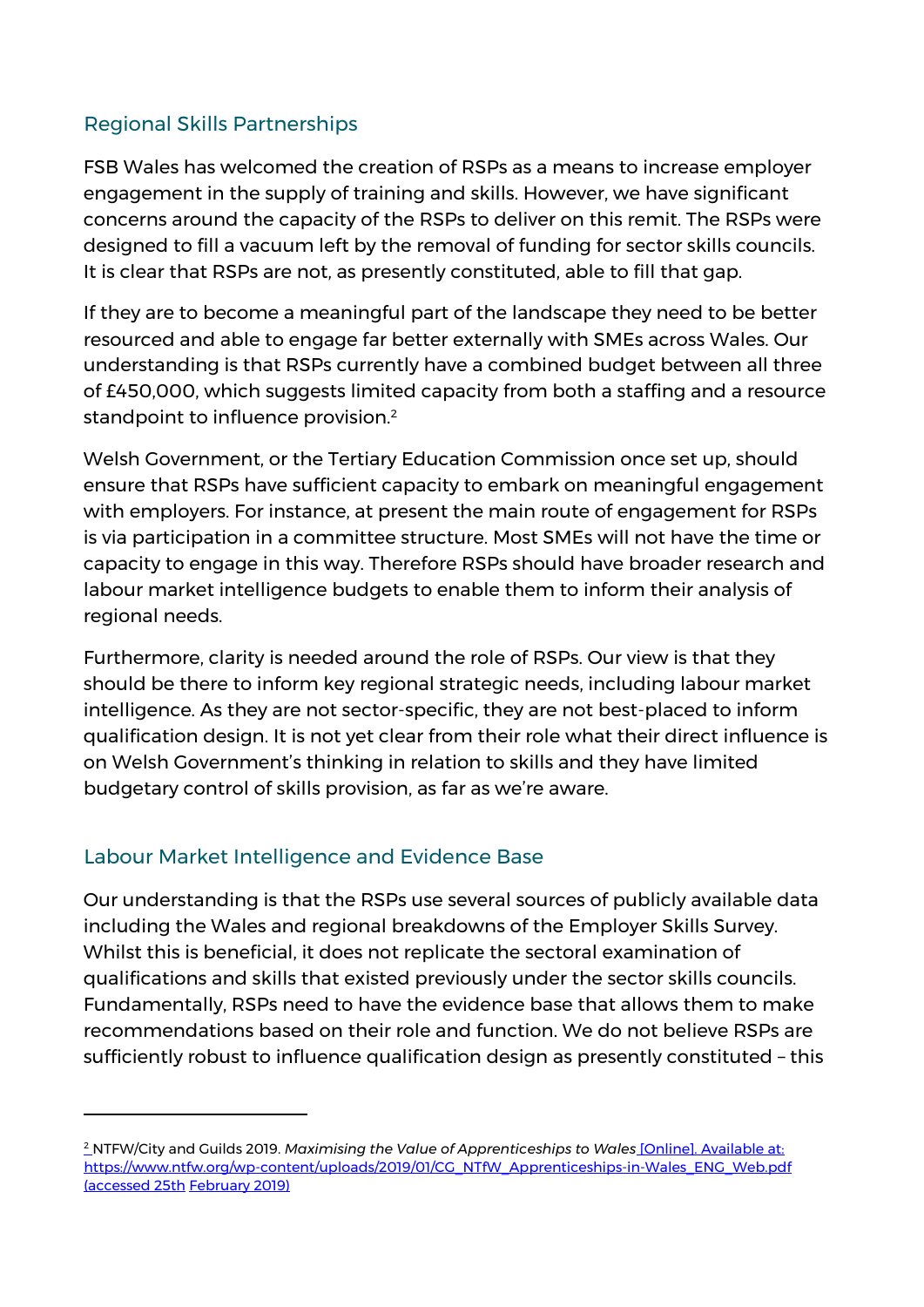## Regional Skills Partnerships

FSB Wales has welcomed the creation of RSPs as a means to increase employer engagement in the supply of training and skills. However, we have significant concerns around the capacity of the RSPs to deliver on this remit. The RSPs were designed to fill a vacuum left by the removal of funding for sector skills councils. It is clear that RSPs are not, as presently constituted, able to fill that gap.

If they are to become a meaningful part of the landscape they need to be better resourced and able to engage far better externally with SMEs across Wales. Our understanding is that RSPs currently have a combined budget between all three of £450,000, which suggests limited capacity from both a staffing and a resource standpoint to influence provision.<sup>2</sup>

Welsh Government, or the Tertiary Education Commission once set up, should ensure that RSPs have sufficient capacity to embark on meaningful engagement with employers. For instance, at present the main route of engagement for RSPs is via participation in a committee structure. Most SMEs will not have the time or capacity to engage in this way. Therefore RSPs should have broader research and labour market intelligence budgets to enable them to inform their analysis of regional needs.

Furthermore, clarity is needed around the role of RSPs. Our view is that they should be there to inform key regional strategic needs, including labour market intelligence. As they are not sector-specific, they are not best-placed to inform qualification design. It is not yet clear from their role what their direct influence is on Welsh Government's thinking in relation to skills and they have limited budgetary control of skills provision, as far as we're aware.

#### Labour Market Intelligence and Evidence Base

-

Our understanding is that the RSPs use several sources of publicly available data including the Wales and regional breakdowns of the Employer Skills Survey. Whilst this is beneficial, it does not replicate the sectoral examination of qualifications and skills that existed previously under the sector skills councils. Fundamentally, RSPs need to have the evidence base that allows them to make recommendations based on their role and function. We do not believe RSPs are sufficiently robust to influence qualification design as presently constituted – this

<sup>2</sup> NTFW/City and Guilds 2019. *Maximising the Value of Apprenticeships to Wales* [Online]. Available at: [https://www.ntfw.org/wp-content/uploads/2019/01/CG\\_NTfW\\_Apprenticeships-in-Wales\\_ENG\\_Web.pdf](https://www.ntfw.org/wp-content/uploads/2019/01/CG_NTfW_Apprenticeships-in-Wales_ENG_Web.pdf) (accessed 25th February 2019)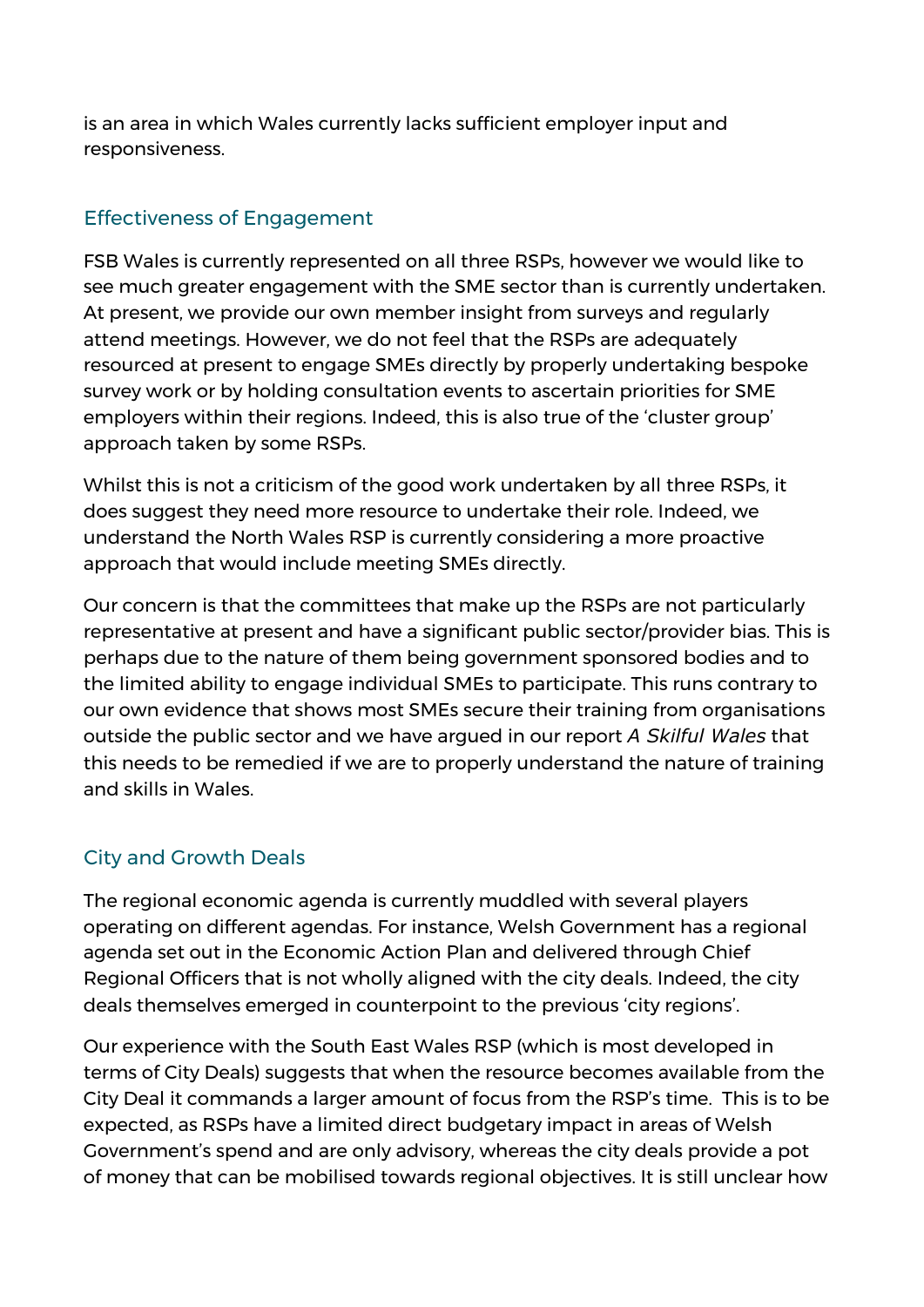is an area in which Wales currently lacks sufficient employer input and responsiveness.

## Effectiveness of Engagement

FSB Wales is currently represented on all three RSPs, however we would like to see much greater engagement with the SME sector than is currently undertaken. At present, we provide our own member insight from surveys and regularly attend meetings. However, we do not feel that the RSPs are adequately resourced at present to engage SMEs directly by properly undertaking bespoke survey work or by holding consultation events to ascertain priorities for SME employers within their regions. Indeed, this is also true of the 'cluster group' approach taken by some RSPs.

Whilst this is not a criticism of the good work undertaken by all three RSPs, it does suggest they need more resource to undertake their role. Indeed, we understand the North Wales RSP is currently considering a more proactive approach that would include meeting SMEs directly.

Our concern is that the committees that make up the RSPs are not particularly representative at present and have a significant public sector/provider bias. This is perhaps due to the nature of them being government sponsored bodies and to the limited ability to engage individual SMEs to participate. This runs contrary to our own evidence that shows most SMEs secure their training from organisations outside the public sector and we have argued in our report *A Skilful Wales* that this needs to be remedied if we are to properly understand the nature of training and skills in Wales.

#### City and Growth Deals

The regional economic agenda is currently muddled with several players operating on different agendas. For instance, Welsh Government has a regional agenda set out in the Economic Action Plan and delivered through Chief Regional Officers that is not wholly aligned with the city deals. Indeed, the city deals themselves emerged in counterpoint to the previous 'city regions'.

Our experience with the South East Wales RSP (which is most developed in terms of City Deals) suggests that when the resource becomes available from the City Deal it commands a larger amount of focus from the RSP's time. This is to be expected, as RSPs have a limited direct budgetary impact in areas of Welsh Government's spend and are only advisory, whereas the city deals provide a pot of money that can be mobilised towards regional objectives. It is still unclear how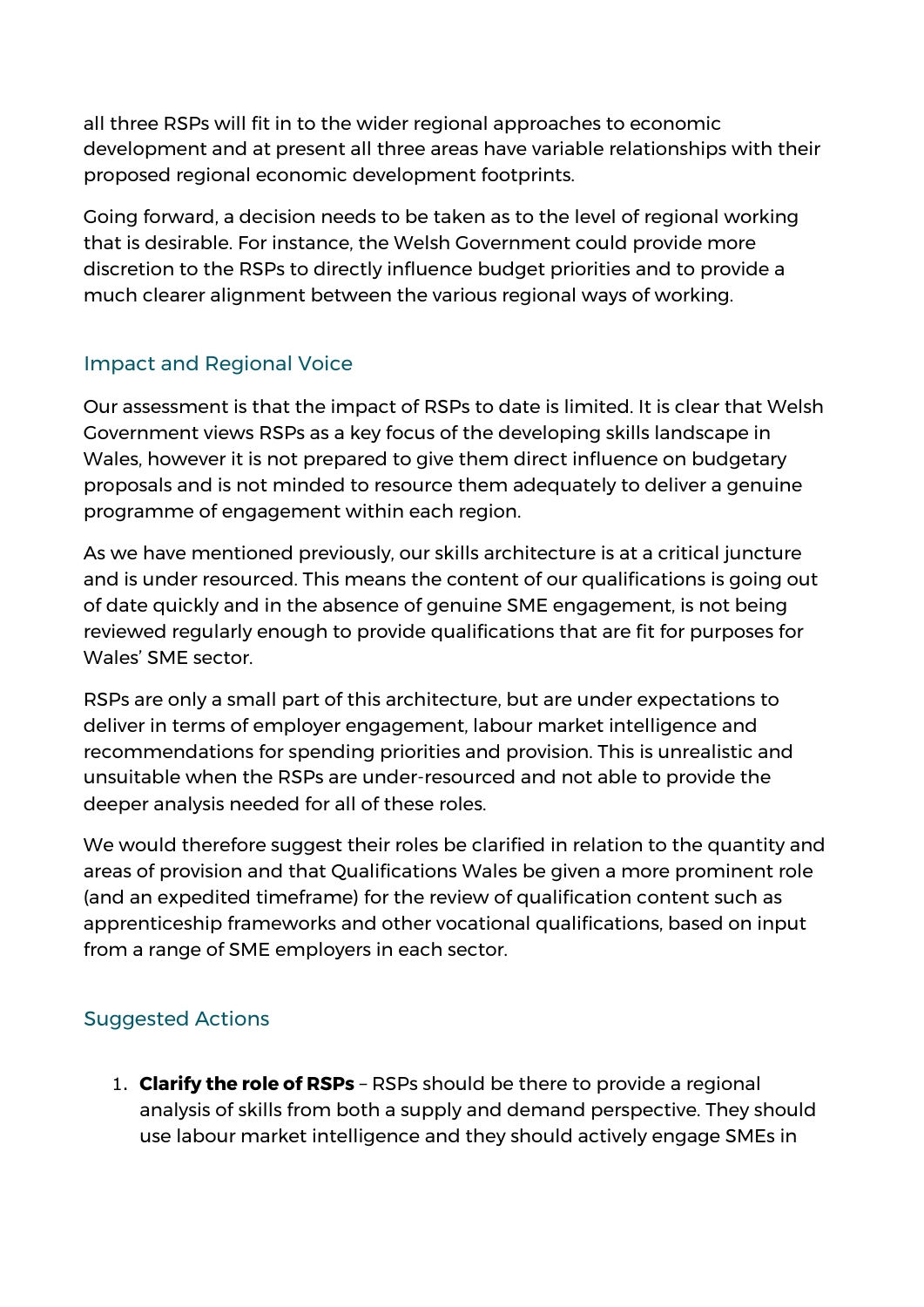all three RSPs will fit in to the wider regional approaches to economic development and at present all three areas have variable relationships with their proposed regional economic development footprints.

Going forward, a decision needs to be taken as to the level of regional working that is desirable. For instance, the Welsh Government could provide more discretion to the RSPs to directly influence budget priorities and to provide a much clearer alignment between the various regional ways of working.

#### Impact and Regional Voice

Our assessment is that the impact of RSPs to date is limited. It is clear that Welsh Government views RSPs as a key focus of the developing skills landscape in Wales, however it is not prepared to give them direct influence on budgetary proposals and is not minded to resource them adequately to deliver a genuine programme of engagement within each region.

As we have mentioned previously, our skills architecture is at a critical juncture and is under resourced. This means the content of our qualifications is going out of date quickly and in the absence of genuine SME engagement, is not being reviewed regularly enough to provide qualifications that are fit for purposes for Wales' SME sector.

RSPs are only a small part of this architecture, but are under expectations to deliver in terms of employer engagement, labour market intelligence and recommendations for spending priorities and provision. This is unrealistic and unsuitable when the RSPs are under-resourced and not able to provide the deeper analysis needed for all of these roles.

We would therefore suggest their roles be clarified in relation to the quantity and areas of provision and that Qualifications Wales be given a more prominent role (and an expedited timeframe) for the review of qualification content such as apprenticeship frameworks and other vocational qualifications, based on input from a range of SME employers in each sector.

# Suggested Actions

1. **Clarify the role of RSPs** – RSPs should be there to provide a regional analysis of skills from both a supply and demand perspective. They should use labour market intelligence and they should actively engage SMEs in